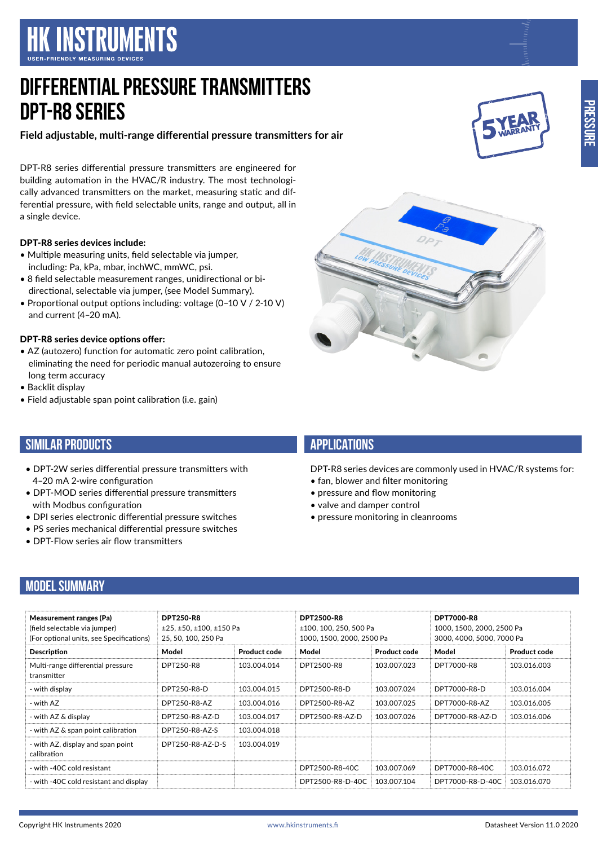# **HK INSTRUMENTS**

# **DIFFERENTIAL PRESSURE TRANSMITTERS DPT-R8 Series**

**Field adjustable, multi-range differential pressure transmitters for air**

DPT-R8 series differential pressure transmitters are engineered for building automation in the HVAC/R industry. The most technologically advanced transmitters on the market, measuring static and differential pressure, with field selectable units, range and output, all in a single device.

#### DPT-R8 series devices include:

- Multiple measuring units, field selectable via jumper, including: Pa, kPa, mbar, inchWC, mmWC, psi.
- 8 field selectable measurement ranges, unidirectional or bidirectional, selectable via jumper, (see Model Summary).
- Proportional output options including: voltage (0–10 V / 2-10 V) and current (4–20 mA).

#### DPT-R8 series device options offer:

4–20 mA 2-wire configuration

• DPT-Flow series air flow transmitters

with Modbus configuration

- AZ (autozero) function for automatic zero point calibration, eliminating the need for periodic manual autozeroing to ensure long term accuracy
- Backlit display

**SIMILAR PRODUCTS**

• Field adjustable span point calibration (i.e. gain)

• DPT-2W series differential pressure transmitters with

• DPT-MOD series differential pressure transmitters

• DPI series electronic differential pressure switches • PS series mechanical differential pressure switches

**APPLICATIONS**

DPT-R8 series devices are commonly used in HVAC/R systems for:

- fan, blower and filter monitoring
- pressure and flow monitoring
- valve and damper control
- pressure monitoring in cleanrooms

### **MODEL SUMMARY**

| <b>Measurement ranges (Pa)</b><br>(field selectable via jumper)<br>(For optional units, see Specifications) | <b>DPT250-R8</b><br>$±25, ±50, ±100, ±150$ Pa<br>25, 50, 100, 250 Pa |                     | <b>DPT2500-R8</b><br>±100, 100, 250, 500 Pa<br>1000, 1500, 2000, 2500 Pa |              | <b>DPT7000-R8</b><br>1000, 1500, 2000, 2500 Pa<br>3000, 4000, 5000, 7000 Pa |                     |
|-------------------------------------------------------------------------------------------------------------|----------------------------------------------------------------------|---------------------|--------------------------------------------------------------------------|--------------|-----------------------------------------------------------------------------|---------------------|
| <b>Description</b>                                                                                          | Model                                                                | <b>Product code</b> | Model                                                                    | Product code | Model                                                                       | <b>Product code</b> |
| Multi-range differential pressure<br>transmitter                                                            | DPT250-R8                                                            | 103.004.014         | DPT2500-R8                                                               | 103.007.023  | DPT7000-R8                                                                  | 103.016.003         |
| - with display                                                                                              | DPT250-R8-D                                                          | 103.004.015         | DPT2500-R8-D                                                             | 103.007.024  | DPT7000-R8-D                                                                | 103.016.004         |
| - with AZ                                                                                                   | DPT250-R8-AZ                                                         | 103.004.016         | DPT2500-R8-AZ                                                            | 103.007.025  | DPT7000-R8-AZ                                                               | 103.016.005         |
| - with AZ & display                                                                                         | DPT250-R8-AZ-D                                                       | 103.004.017         | DPT2500-R8-AZ-D                                                          | 103.007.026  | DPT7000-R8-AZ-D                                                             | 103.016.006         |
| - with AZ & span point calibration                                                                          | DPT250-R8-AZ-S                                                       | 103.004.018         |                                                                          |              |                                                                             |                     |
| - with AZ, display and span point<br>calibration                                                            | DPT250-R8-AZ-D-S                                                     | 103.004.019         |                                                                          |              |                                                                             |                     |
| - with -40C cold resistant                                                                                  |                                                                      |                     | DPT2500-R8-40C                                                           | 103.007.069  | DPT7000-R8-40C                                                              | 103.016.072         |
| - with -40C cold resistant and display                                                                      |                                                                      |                     | DPT2500-R8-D-40C                                                         | 103.007.104  | DPT7000-R8-D-40C                                                            | 103.016.070         |